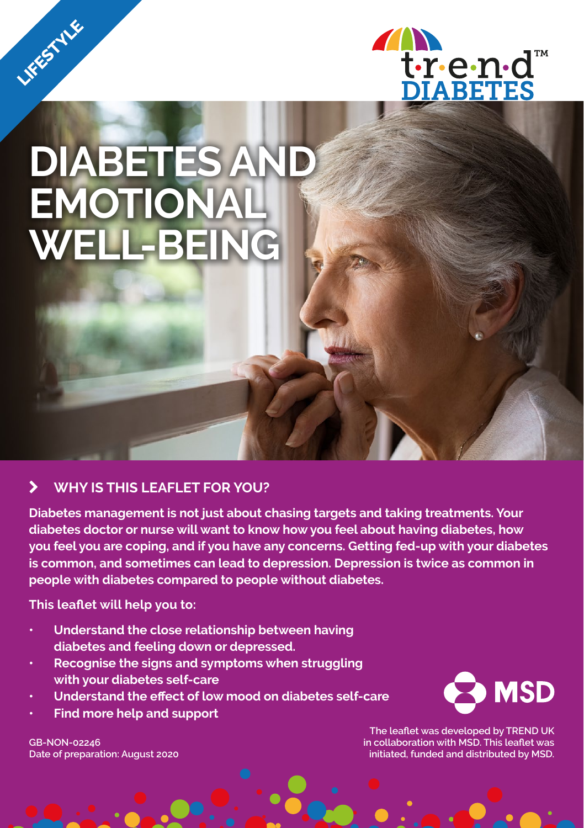

# **DIABETES AND EMOTIONAL WELL-BEING**

LIFESTYLE

## k **WHY IS THIS LEAFLET FOR YOU?**

**Diabetes management is not just about chasing targets and taking treatments. Your diabetes doctor or nurse will want to know how you feel about having diabetes, how you feel you are coping, and if you have any concerns. Getting fed-up with your diabetes is common, and sometimes can lead to depression. Depression is twice as common in people with diabetes compared to people without diabetes.**

**This leaflet will help you to:** 

- **• Understand the close relationship between having diabetes and feeling down or depressed.**
- **• Recognise the signs and symptoms when struggling with your diabetes self-care**
- **• Understand the effect of low mood on diabetes self-care**
- **• Find more help and support**

**GB-NON-02246 Date of preparation: August 2020**



**The leaflet was developed by TREND UK in collaboration with MSD. This leaflet was initiated, funded and distributed by MSD.**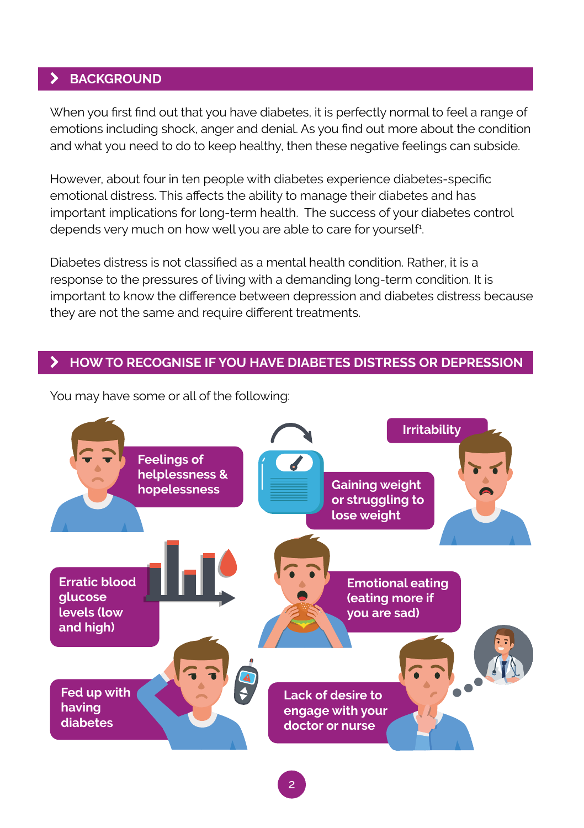### k **BACKGROUND**

When you first find out that you have diabetes, it is perfectly normal to feel a range of emotions including shock, anger and denial. As you find out more about the condition and what you need to do to keep healthy, then these negative feelings can subside.

However, about four in ten people with diabetes experience diabetes-specific emotional distress. This affects the ability to manage their diabetes and has important implications for long-term health. The success of your diabetes control depends very much on how well you are able to care for yourself<sup>1</sup>. .

Diabetes distress is not classified as a mental health condition. Rather, it is a response to the pressures of living with a demanding long-term condition. It is important to know the difference between depression and diabetes distress because they are not the same and require different treatments.

#### k **HOW TO RECOGNISE IF YOU HAVE DIABETES DISTRESS OR DEPRESSION**



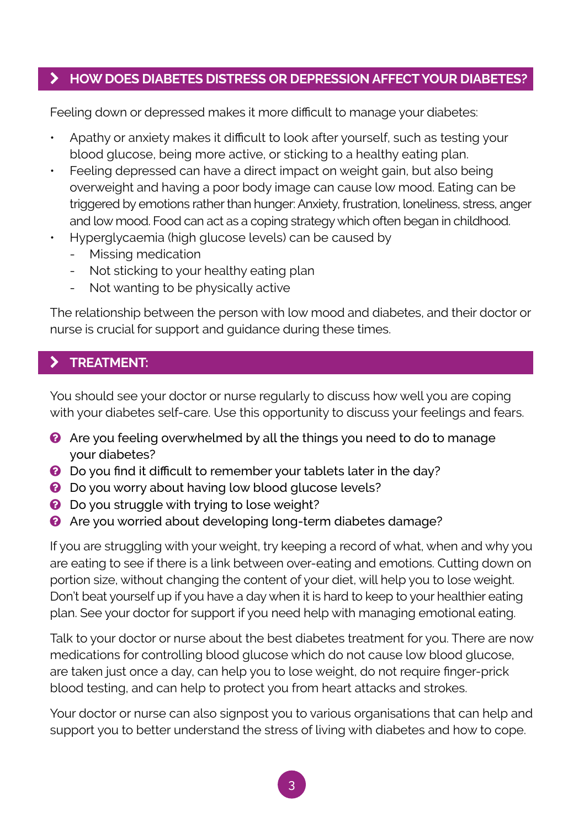## **EX HOW DOES DIABETES DISTRESS OR DEPRESSION AFFECT YOUR DIABETES?**

Feeling down or depressed makes it more difficult to manage your diabetes:

- Apathy or anxiety makes it difficult to look after yourself, such as testing your blood glucose, being more active, or sticking to a healthy eating plan.
- Feeling depressed can have a direct impact on weight gain, but also being overweight and having a poor body image can cause low mood. Eating can be triggered by emotions rather than hunger: Anxiety, frustration, loneliness, stress, anger and low mood. Food can act as a coping strategy which often began in childhood.
- Hyperglycaemia (high glucose levels) can be caused by
	- Missing medication
	- Not sticking to your healthy eating plan
	- Not wanting to be physically active

The relationship between the person with low mood and diabetes, and their doctor or nurse is crucial for support and guidance during these times.

## k **TREATMENT:**

You should see your doctor or nurse regularly to discuss how well you are coping with your diabetes self-care. Use this opportunity to discuss your feelings and fears.

- **a** Are you feeling overwhelmed by all the things you need to do to manage your diabetes?
- **Q** Do you find it difficult to remember your tablets later in the day?
- **Q** Do you worry about having low blood glucose levels?
- **Q** Do you struggle with trying to lose weight?
- **2** Are you worried about developing long-term diabetes damage?

If you are struggling with your weight, try keeping a record of what, when and why you are eating to see if there is a link between over-eating and emotions. Cutting down on portion size, without changing the content of your diet, will help you to lose weight. Don't beat yourself up if you have a day when it is hard to keep to your healthier eating plan. See your doctor for support if you need help with managing emotional eating.

Talk to your doctor or nurse about the best diabetes treatment for you. There are now medications for controlling blood glucose which do not cause low blood glucose, are taken just once a day, can help you to lose weight, do not require finger-prick blood testing, and can help to protect you from heart attacks and strokes.

Your doctor or nurse can also signpost you to various organisations that can help and support you to better understand the stress of living with diabetes and how to cope.